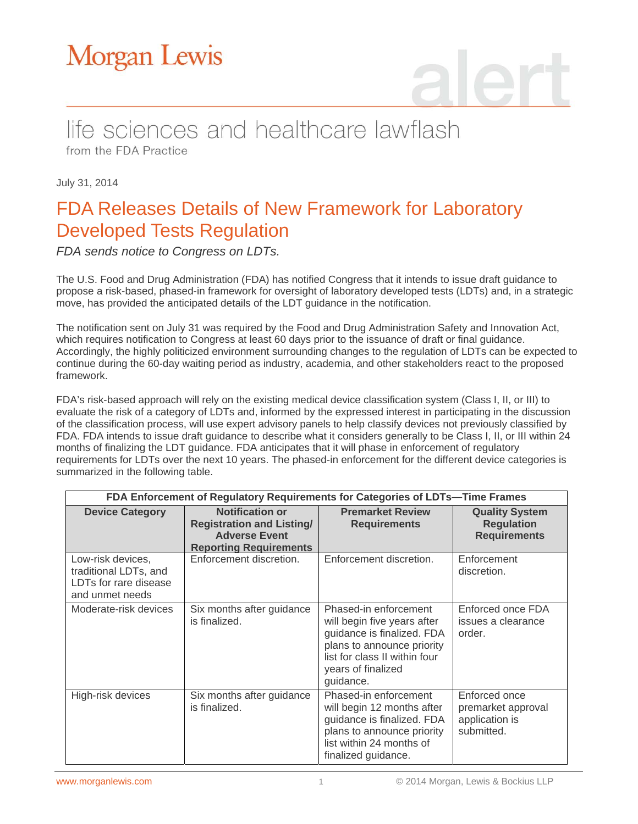# **Morgan Lewis**

### life sciences and healthcare lawflash from the FDA Practice

July 31, 2014

## FDA Releases Details of New Framework for Laboratory Developed Tests Regulation

*FDA sends notice to Congress on LDTs.*

The U.S. Food and Drug Administration (FDA) has notified Congress that it intends to issue draft guidance to propose a risk-based, phased-in framework for oversight of laboratory developed tests (LDTs) and, in a strategic move, has provided the anticipated details of the LDT guidance in the notification.

The notification sent on July 31 was required by the Food and Drug Administration Safety and Innovation Act, which requires notification to Congress at least 60 days prior to the issuance of draft or final guidance. Accordingly, the highly politicized environment surrounding changes to the regulation of LDTs can be expected to continue during the 60-day waiting period as industry, academia, and other stakeholders react to the proposed framework.

FDA's risk-based approach will rely on the existing medical device classification system (Class I, II, or III) to evaluate the risk of a category of LDTs and, informed by the expressed interest in participating in the discussion of the classification process, will use expert advisory panels to help classify devices not previously classified by FDA. FDA intends to issue draft guidance to describe what it considers generally to be Class I, II, or III within 24 months of finalizing the LDT guidance. FDA anticipates that it will phase in enforcement of regulatory requirements for LDTs over the next 10 years. The phased-in enforcement for the different device categories is summarized in the following table.

| FDA Enforcement of Regulatory Requirements for Categories of LDTs-Time Frames          |                                                                                                                     |                                                                                                                                                                                      |                                                                     |
|----------------------------------------------------------------------------------------|---------------------------------------------------------------------------------------------------------------------|--------------------------------------------------------------------------------------------------------------------------------------------------------------------------------------|---------------------------------------------------------------------|
| <b>Device Category</b>                                                                 | <b>Notification or</b><br><b>Registration and Listing/</b><br><b>Adverse Event</b><br><b>Reporting Requirements</b> | <b>Premarket Review</b><br><b>Requirements</b>                                                                                                                                       | <b>Quality System</b><br><b>Regulation</b><br><b>Requirements</b>   |
| Low-risk devices,<br>traditional LDTs, and<br>LDTs for rare disease<br>and unmet needs | Enforcement discretion.                                                                                             | Enforcement discretion.                                                                                                                                                              | Enforcement<br>discretion.                                          |
| Moderate-risk devices                                                                  | Six months after guidance<br>is finalized.                                                                          | Phased-in enforcement<br>will begin five years after<br>guidance is finalized. FDA<br>plans to announce priority<br>list for class II within four<br>years of finalized<br>guidance. | Enforced once FDA<br>issues a clearance<br>order.                   |
| High-risk devices                                                                      | Six months after guidance<br>is finalized.                                                                          | Phased-in enforcement<br>will begin 12 months after<br>guidance is finalized. FDA<br>plans to announce priority<br>list within 24 months of<br>finalized guidance.                   | Enforced once<br>premarket approval<br>application is<br>submitted. |